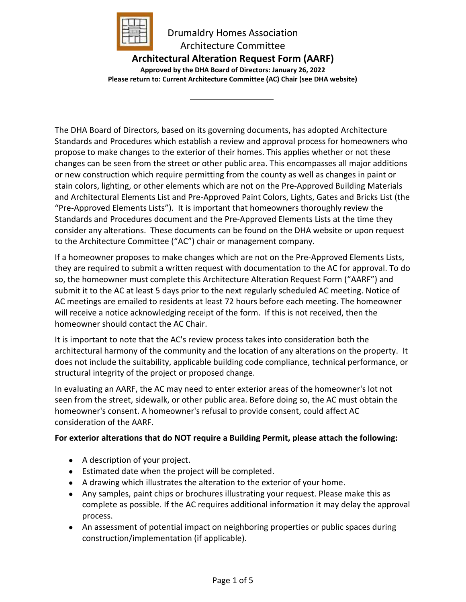

# **Architectural Alteration Request Form (AARF)**

**Approved by the DHA Board of Directors: January 26, 2022 Please return to: Current Architecture Committee (AC) Chair (see DHA website)**

The DHA Board of Directors, based on its governing documents, has adopted Architecture Standards and Procedures which establish a review and approval process for homeowners who propose to make changes to the exterior of their homes. This applies whether or not these changes can be seen from the street or other public area. This encompasses all major additions or new construction which require permitting from the county as well as changes in paint or stain colors, lighting, or other elements which are not on the Pre-Approved Building Materials and Architectural Elements List and Pre-Approved Paint Colors, Lights, Gates and Bricks List (the "Pre-Approved Elements Lists"). It is important that homeowners thoroughly review the Standards and Procedures document and the Pre-Approved Elements Lists at the time they consider any alterations. These documents can be found on the DHA website or upon request to the Architecture Committee ("AC") chair or management company.

If a homeowner proposes to make changes which are not on the Pre-Approved Elements Lists, they are required to submit a written request with documentation to the AC for approval. To do so, the homeowner must complete this Architecture Alteration Request Form ("AARF") and submit it to the AC at least 5 days prior to the next regularly scheduled AC meeting. Notice of AC meetings are emailed to residents at least 72 hours before each meeting. The homeowner will receive a notice acknowledging receipt of the form. If this is not received, then the homeowner should contact the AC Chair.

It is important to note that the AC's review process takes into consideration both the architectural harmony of the community and the location of any alterations on the property. It does not include the suitability, applicable building code compliance, technical performance, or structural integrity of the project or proposed change.

In evaluating an AARF, the AC may need to enter exterior areas of the homeowner's lot not seen from the street, sidewalk, or other public area. Before doing so, the AC must obtain the homeowner's consent. A homeowner's refusal to provide consent, could affect AC consideration of the AARF.

### **For exterior alterations that do NOT require a Building Permit, please attach the following:**

- A description of your project.
- Estimated date when the project will be completed.
- A drawing which illustrates the alteration to the exterior of your home.
- Any samples, paint chips or brochures illustrating your request. Please make this as complete as possible. If the AC requires additional information it may delay the approval process.
- An assessment of potential impact on neighboring properties or public spaces during construction/implementation (if applicable).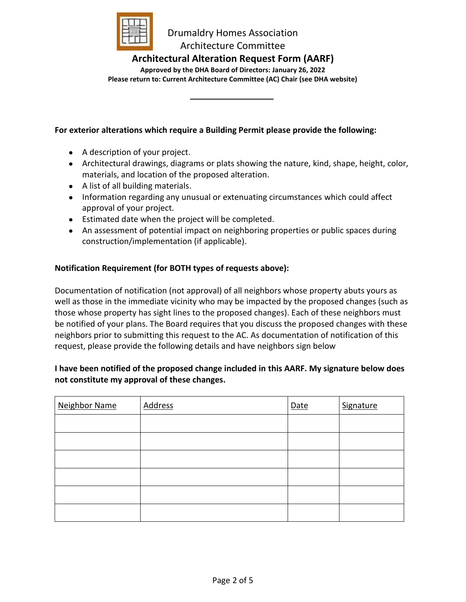

### **Architectural Alteration Request Form (AARF)**

**Approved by the DHA Board of Directors: January 26, 2022 Please return to: Current Architecture Committee (AC) Chair (see DHA website)**

#### **For exterior alterations which require a Building Permit please provide the following:**

- A description of your project.
- Architectural drawings, diagrams or plats showing the nature, kind, shape, height, color, materials, and location of the proposed alteration.
- A list of all building materials.
- Information regarding any unusual or extenuating circumstances which could affect approval of your project*.*
- Estimated date when the project will be completed.
- An assessment of potential impact on neighboring properties or public spaces during construction/implementation (if applicable).

#### **Notification Requirement (for BOTH types of requests above):**

Documentation of notification (not approval) of all neighbors whose property abuts yours as well as those in the immediate vicinity who may be impacted by the proposed changes (such as those whose property has sight lines to the proposed changes). Each of these neighbors must be notified of your plans. The Board requires that you discuss the proposed changes with these neighbors prior to submitting this request to the AC. As documentation of notification of this request, please provide the following details and have neighbors sign below

#### **I have been notified of the proposed change included in this AARF. My signature below does not constitute my approval of these changes.**

| <b>Neighbor Name</b> | <b>Address</b> | Date | Signature |
|----------------------|----------------|------|-----------|
|                      |                |      |           |
|                      |                |      |           |
|                      |                |      |           |
|                      |                |      |           |
|                      |                |      |           |
|                      |                |      |           |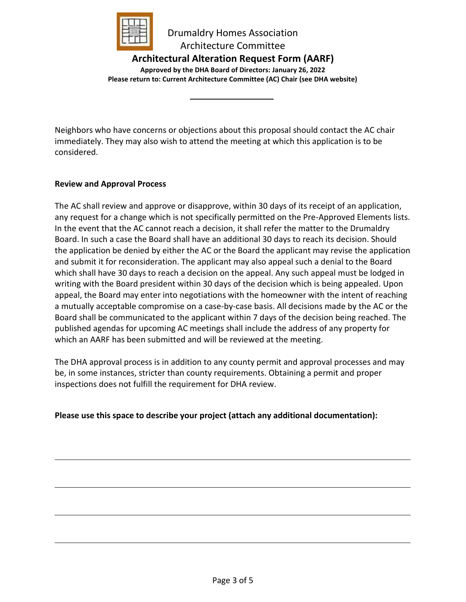

# **Architectural Alteration Request Form (AARF)**

**Approved by the DHA Board of Directors: January 26, 2022 Please return to: Current Architecture Committee (AC) Chair (see DHA website)**

Neighbors who have concerns or objections about this proposal should contact the AC chair immediately. They may also wish to attend the meeting at which this application is to be considered.

#### **Review and Approval Process**

The AC shall review and approve or disapprove, within 30 days of its receipt of an application, any request for a change which is not specifically permitted on the Pre-Approved Elements lists. In the event that the AC cannot reach a decision, it shall refer the matter to the Drumaldry Board. In such a case the Board shall have an additional 30 days to reach its decision. Should the application be denied by either the AC or the Board the applicant may revise the application and submit it for reconsideration. The applicant may also appeal such a denial to the Board which shall have 30 days to reach a decision on the appeal. Any such appeal must be lodged in writing with the Board president within 30 days of the decision which is being appealed. Upon appeal, the Board may enter into negotiations with the homeowner with the intent of reaching a mutually acceptable compromise on a case-by-case basis. All decisions made by the AC or the Board shall be communicated to the applicant within 7 days of the decision being reached. The published agendas for upcoming AC meetings shall include the address of any property for which an AARF has been submitted and will be reviewed at the meeting.

The DHA approval process is in addition to any county permit and approval processes and may be, in some instances, stricter than county requirements. Obtaining a permit and proper inspections does not fulfill the requirement for DHA review.

**Please use this space to describe your project (attach any additional documentation):**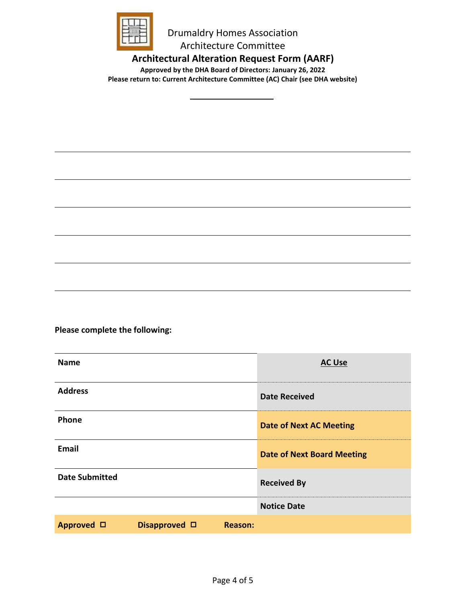

**Architectural Alteration Request Form (AARF)**

**Approved by the DHA Board of Directors: January 26, 2022 Please return to: Current Architecture Committee (AC) Chair (see DHA website)**

**Please complete the following:**

| <b>Name</b>           |                       |                | <b>AC Use</b>                     |
|-----------------------|-----------------------|----------------|-----------------------------------|
| <b>Address</b>        |                       |                | <b>Date Received</b>              |
| Phone                 |                       |                | <b>Date of Next AC Meeting</b>    |
| Email                 |                       |                | <b>Date of Next Board Meeting</b> |
| <b>Date Submitted</b> |                       |                | <b>Received By</b>                |
|                       |                       |                | <b>Notice Date</b>                |
| Approved □            | Disapproved $\square$ | <b>Reason:</b> |                                   |